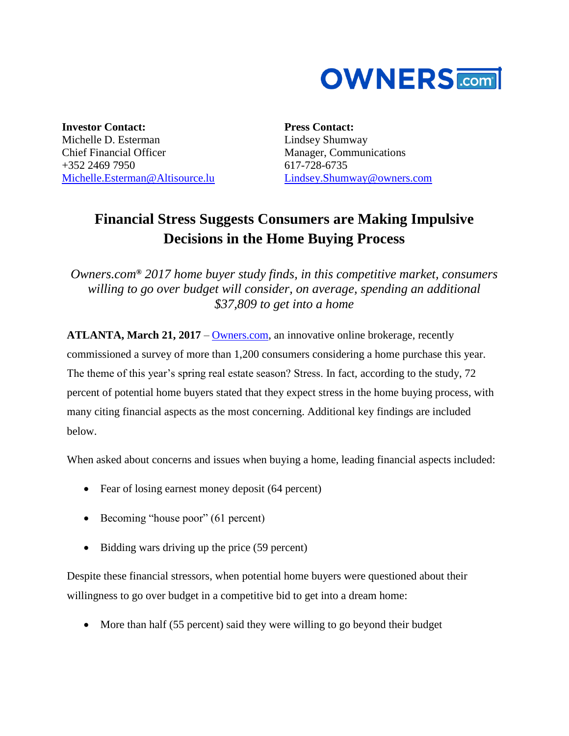

**Investor Contact:** Michelle D. Esterman Chief Financial Officer +352 2469 7950 [Michelle.Esterman@Altisource.lu](mailto:Michelle.Esterman@Altisource.lu)

**Press Contact:** Lindsey Shumway Manager, Communications 617-728-6735 [Lindsey.Shumway@owners.com](mailto:lindsey.shumway@owners.com)

## **Financial Stress Suggests Consumers are Making Impulsive Decisions in the Home Buying Process**

*Owners.com***®** *2017 home buyer study finds, in this competitive market, consumers willing to go over budget will consider, on average, spending an additional \$37,809 to get into a home* 

**ATLANTA, March 21, 2017** – [Owners.com,](https://www.owners.com/?utm_campaign=homebuyersurvey2&utm_source=pr&utm_medium=pr&utm_content=lead_link) an innovative online brokerage, recently commissioned a survey of more than 1,200 consumers considering a home purchase this year. The theme of this year's spring real estate season? Stress. In fact, according to the study, 72 percent of potential home buyers stated that they expect stress in the home buying process, with many citing financial aspects as the most concerning. Additional key findings are included below.

When asked about concerns and issues when buying a home, leading financial aspects included:

- Fear of losing earnest money deposit (64 percent)
- Becoming "house poor" (61 percent)
- Bidding wars driving up the price (59 percent)

Despite these financial stressors, when potential home buyers were questioned about their willingness to go over budget in a competitive bid to get into a dream home:

More than half (55 percent) said they were willing to go beyond their budget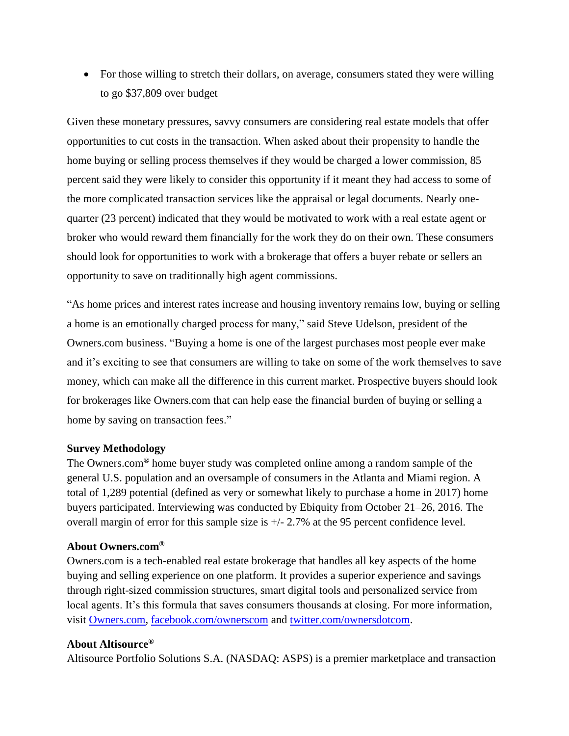• For those willing to stretch their dollars, on average, consumers stated they were willing to go \$37,809 over budget

Given these monetary pressures, savvy consumers are considering real estate models that offer opportunities to cut costs in the transaction. When asked about their propensity to handle the home buying or selling process themselves if they would be charged a lower commission, 85 percent said they were likely to consider this opportunity if it meant they had access to some of the more complicated transaction services like the appraisal or legal documents. Nearly onequarter (23 percent) indicated that they would be motivated to work with a real estate agent or broker who would reward them financially for the work they do on their own. These consumers should look for opportunities to work with a brokerage that offers a buyer rebate or sellers an opportunity to save on traditionally high agent commissions.

"As home prices and interest rates increase and housing inventory remains low, buying or selling a home is an emotionally charged process for many," said Steve Udelson, president of the Owners.com business. "Buying a home is one of the largest purchases most people ever make and it's exciting to see that consumers are willing to take on some of the work themselves to save money, which can make all the difference in this current market. Prospective buyers should look for brokerages like Owners.com that can help ease the financial burden of buying or selling a home by saving on transaction fees."

## **Survey Methodology**

The Owners.com**®** home buyer study was completed online among a random sample of the general U.S. population and an oversample of consumers in the Atlanta and Miami region. A total of 1,289 potential (defined as very or somewhat likely to purchase a home in 2017) home buyers participated. Interviewing was conducted by Ebiquity from October 21–26, 2016. The overall margin of error for this sample size is +/- 2.7% at the 95 percent confidence level.

## **About Owners.com®**

Owners.com is a tech-enabled real estate brokerage that handles all key aspects of the home buying and selling experience on one platform. It provides a superior experience and savings through right-sized commission structures, smart digital tools and personalized service from local agents. It's this formula that saves consumers thousands at closing. For more information, visit [Owners.com,](https://www.owners.com/?utm_campaign=homebuyersurvey2&utm_source=pr&utm_medium=pr&utm_content=lead_link) [facebook.com/ownerscom](https://www.facebook.com/ownerscom/?utm_campaign=homebuyersurvey2&utm_source=PR&utm_medium=PR&utm_content=boilerplate) and [twitter.com/ownersdotcom.](https://twitter.com/ownersdotcom/?utm_campaign=homebuyersurvey2&utm_source=PR&utm_medium=PR&utm_content=boilerplate)

## **About Altisource®**

Altisource Portfolio Solutions S.A. (NASDAQ: ASPS) is a premier marketplace and transaction